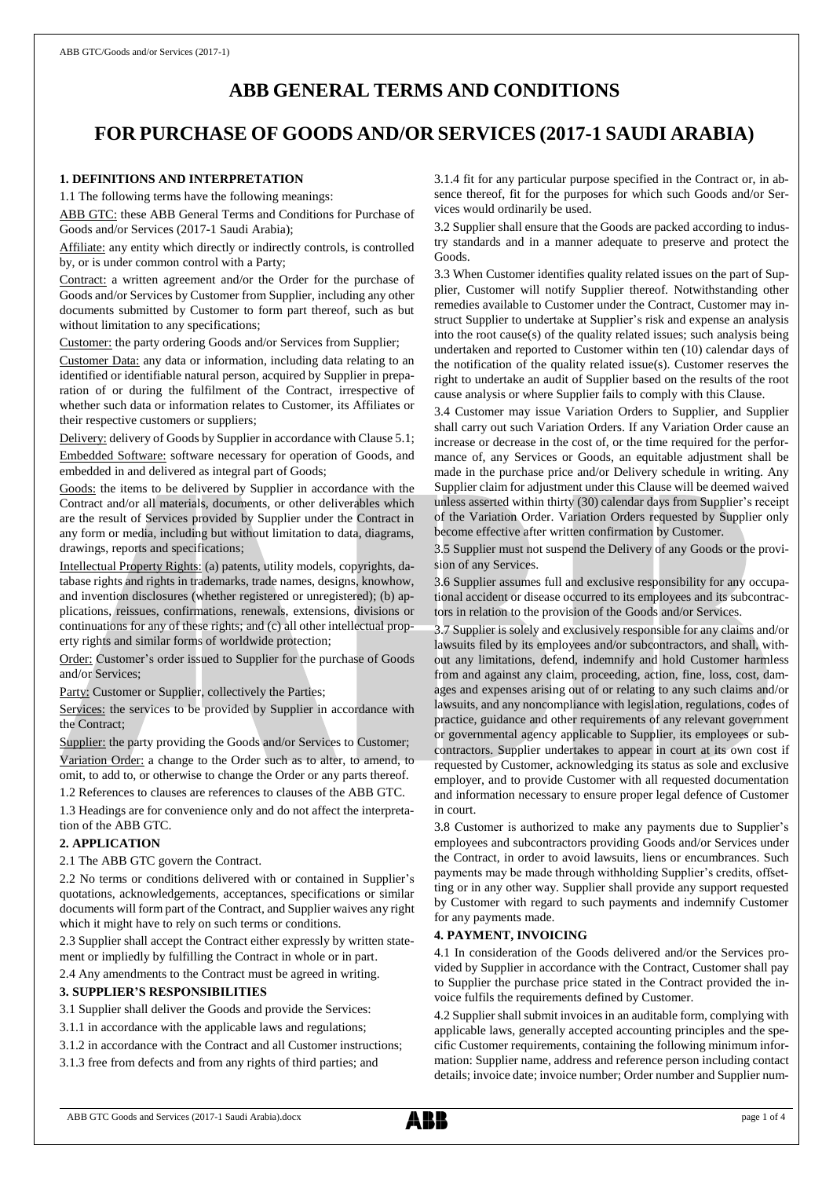# **ABB GENERAL TERMS AND CONDITIONS**

# **FOR PURCHASE OF GOODS AND/OR SERVICES (2017-1 SAUDI ARABIA)**

# **1. DEFINITIONS AND INTERPRETATION**

1.1 The following terms have the following meanings:

ABB GTC: these ABB General Terms and Conditions for Purchase of Goods and/or Services (2017-1 Saudi Arabia);

Affiliate: any entity which directly or indirectly controls, is controlled by, or is under common control with a Party;

Contract: a written agreement and/or the Order for the purchase of Goods and/or Services by Customer from Supplier, including any other documents submitted by Customer to form part thereof, such as but without limitation to any specifications;

Customer: the party ordering Goods and/or Services from Supplier;

Customer Data: any data or information, including data relating to an identified or identifiable natural person, acquired by Supplier in preparation of or during the fulfilment of the Contract, irrespective of whether such data or information relates to Customer, its Affiliates or their respective customers or suppliers;

Delivery: delivery of Goods by Supplier in accordance with Clause 5.1; Embedded Software: software necessary for operation of Goods, and embedded in and delivered as integral part of Goods;

Goods: the items to be delivered by Supplier in accordance with the Contract and/or all materials, documents, or other deliverables which are the result of Services provided by Supplier under the Contract in any form or media, including but without limitation to data, diagrams, drawings, reports and specifications;

Intellectual Property Rights: (a) patents, utility models, copyrights, database rights and rights in trademarks, trade names, designs, knowhow, and invention disclosures (whether registered or unregistered); (b) applications, reissues, confirmations, renewals, extensions, divisions or continuations for any of these rights; and (c) all other intellectual property rights and similar forms of worldwide protection;

Order: Customer's order issued to Supplier for the purchase of Goods and/or Services;

Party: Customer or Supplier, collectively the Parties;

Services: the services to be provided by Supplier in accordance with the Contract;

Supplier: the party providing the Goods and/or Services to Customer; Variation Order: a change to the Order such as to alter, to amend, to omit, to add to, or otherwise to change the Order or any parts thereof.

1.2 References to clauses are references to clauses of the ABB GTC.

1.3 Headings are for convenience only and do not affect the interpretation of the ABB GTC.

# **2. APPLICATION**

2.1 The ABB GTC govern the Contract.

2.2 No terms or conditions delivered with or contained in Supplier's quotations, acknowledgements, acceptances, specifications or similar documents will form part of the Contract, and Supplier waives any right which it might have to rely on such terms or conditions.

2.3 Supplier shall accept the Contract either expressly by written statement or impliedly by fulfilling the Contract in whole or in part.

2.4 Any amendments to the Contract must be agreed in writing.

# **3. SUPPLIER'S RESPONSIBILITIES**

3.1 Supplier shall deliver the Goods and provide the Services:

- 3.1.1 in accordance with the applicable laws and regulations;
- 3.1.2 in accordance with the Contract and all Customer instructions;

3.1.3 free from defects and from any rights of third parties; and

3.1.4 fit for any particular purpose specified in the Contract or, in absence thereof, fit for the purposes for which such Goods and/or Services would ordinarily be used.

3.2 Supplier shall ensure that the Goods are packed according to industry standards and in a manner adequate to preserve and protect the Goods.

3.3 When Customer identifies quality related issues on the part of Supplier, Customer will notify Supplier thereof. Notwithstanding other remedies available to Customer under the Contract, Customer may instruct Supplier to undertake at Supplier's risk and expense an analysis into the root cause(s) of the quality related issues; such analysis being undertaken and reported to Customer within ten (10) calendar days of the notification of the quality related issue(s). Customer reserves the right to undertake an audit of Supplier based on the results of the root cause analysis or where Supplier fails to comply with this Clause.

3.4 Customer may issue Variation Orders to Supplier, and Supplier shall carry out such Variation Orders. If any Variation Order cause an increase or decrease in the cost of, or the time required for the performance of, any Services or Goods, an equitable adjustment shall be made in the purchase price and/or Delivery schedule in writing. Any Supplier claim for adjustment under this Clause will be deemed waived unless asserted within thirty (30) calendar days from Supplier's receipt of the Variation Order. Variation Orders requested by Supplier only become effective after written confirmation by Customer.

3.5 Supplier must not suspend the Delivery of any Goods or the provision of any Services.

3.6 Supplier assumes full and exclusive responsibility for any occupational accident or disease occurred to its employees and its subcontractors in relation to the provision of the Goods and/or Services.

3.7 Supplier is solely and exclusively responsible for any claims and/or lawsuits filed by its employees and/or subcontractors, and shall, without any limitations, defend, indemnify and hold Customer harmless from and against any claim, proceeding, action, fine, loss, cost, damages and expenses arising out of or relating to any such claims and/or lawsuits, and any noncompliance with legislation, regulations, codes of practice, guidance and other requirements of any relevant government or governmental agency applicable to Supplier, its employees or subcontractors. Supplier undertakes to appear in court at its own cost if requested by Customer, acknowledging its status as sole and exclusive employer, and to provide Customer with all requested documentation and information necessary to ensure proper legal defence of Customer in court.

3.8 Customer is authorized to make any payments due to Supplier's employees and subcontractors providing Goods and/or Services under the Contract, in order to avoid lawsuits, liens or encumbrances. Such payments may be made through withholding Supplier's credits, offsetting or in any other way. Supplier shall provide any support requested by Customer with regard to such payments and indemnify Customer for any payments made.

# **4. PAYMENT, INVOICING**

4.1 In consideration of the Goods delivered and/or the Services provided by Supplier in accordance with the Contract, Customer shall pay to Supplier the purchase price stated in the Contract provided the invoice fulfils the requirements defined by Customer.

4.2 Supplier shall submit invoices in an auditable form, complying with applicable laws, generally accepted accounting principles and the specific Customer requirements, containing the following minimum information: Supplier name, address and reference person including contact details; invoice date; invoice number; Order number and Supplier num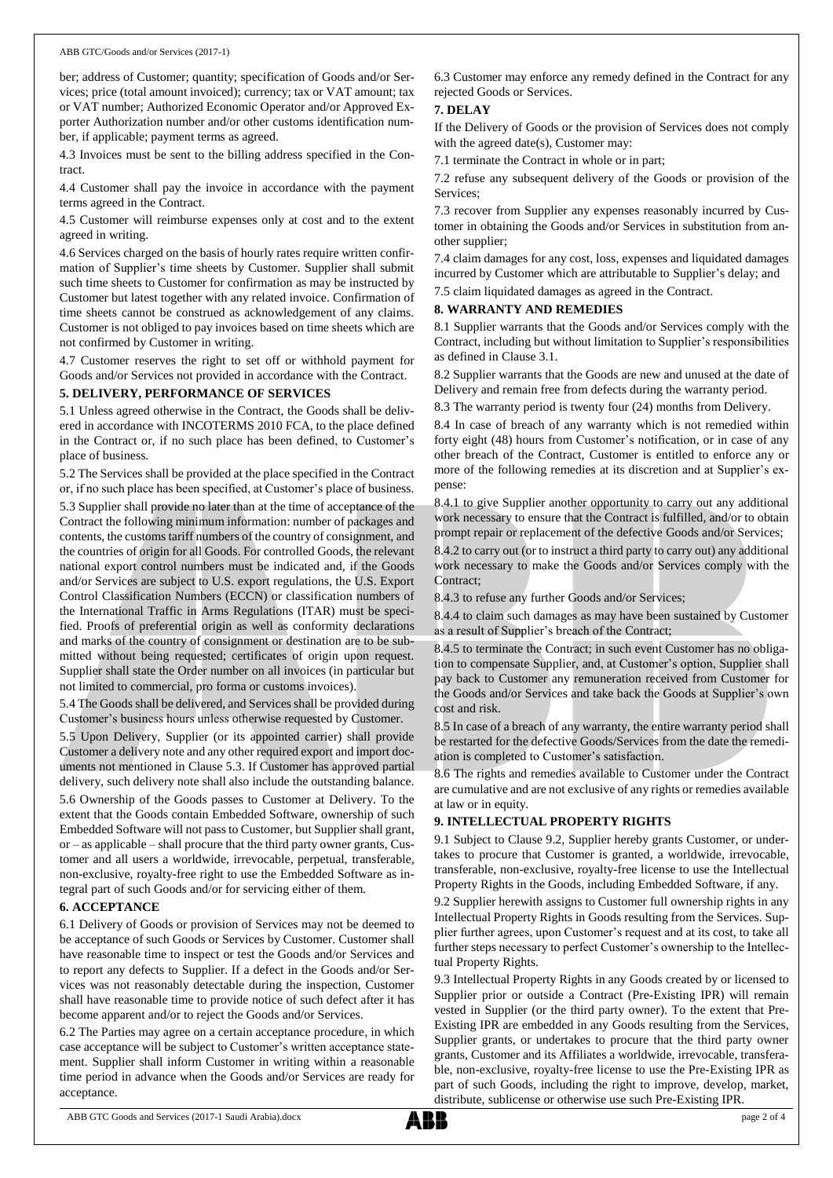ber; address of Customer; quantity; specification of Goods and/or Services; price (total amount invoiced); currency; tax or VAT amount; tax or VAT number; Authorized Economic Operator and/or Approved Exporter Authorization number and/or other customs identification number, if applicable; payment terms as agreed.

4.3 Invoices must be sent to the billing address specified in the Contract.

4.4 Customer shall pay the invoice in accordance with the payment terms agreed in the Contract.

4.5 Customer will reimburse expenses only at cost and to the extent agreed in writing.

4.6 Services charged on the basis of hourly rates require written confirmation of Supplier's time sheets by Customer. Supplier shall submit such time sheets to Customer for confirmation as may be instructed by Customer but latest together with any related invoice. Confirmation of time sheets cannot be construed as acknowledgement of any claims. Customer is not obliged to pay invoices based on time sheets which are not confirmed by Customer in writing.

4.7 Customer reserves the right to set off or withhold payment for Goods and/or Services not provided in accordance with the Contract.

#### **5. DELIVERY, PERFORMANCE OF SERVICES**

5.1 Unless agreed otherwise in the Contract, the Goods shall be delivered in accordance with INCOTERMS 2010 FCA, to the place defined in the Contract or, if no such place has been defined, to Customer's place of business.

5.2 The Services shall be provided at the place specified in the Contract or, if no such place has been specified, at Customer's place of business.

5.3 Supplier shall provide no later than at the time of acceptance of the Contract the following minimum information: number of packages and contents, the customs tariff numbers of the country of consignment, and the countries of origin for all Goods. For controlled Goods, the relevant national export control numbers must be indicated and, if the Goods and/or Services are subject to U.S. export regulations, the U.S. Export Control Classification Numbers (ECCN) or classification numbers of the International Traffic in Arms Regulations (ITAR) must be specified. Proofs of preferential origin as well as conformity declarations and marks of the country of consignment or destination are to be submitted without being requested; certificates of origin upon request. Supplier shall state the Order number on all invoices (in particular but not limited to commercial, pro forma or customs invoices).

5.4 The Goods shall be delivered, and Services shall be provided during Customer's business hours unless otherwise requested by Customer.

5.5 Upon Delivery, Supplier (or its appointed carrier) shall provide Customer a delivery note and any other required export and import documents not mentioned in Clause 5.3. If Customer has approved partial delivery, such delivery note shall also include the outstanding balance.

5.6 Ownership of the Goods passes to Customer at Delivery. To the extent that the Goods contain Embedded Software, ownership of such Embedded Software will not passto Customer, but Supplier shall grant, or – as applicable – shall procure that the third party owner grants, Customer and all users a worldwide, irrevocable, perpetual, transferable, non-exclusive, royalty-free right to use the Embedded Software as integral part of such Goods and/or for servicing either of them.

# **6. ACCEPTANCE**

6.1 Delivery of Goods or provision of Services may not be deemed to be acceptance of such Goods or Services by Customer. Customer shall have reasonable time to inspect or test the Goods and/or Services and to report any defects to Supplier. If a defect in the Goods and/or Services was not reasonably detectable during the inspection, Customer shall have reasonable time to provide notice of such defect after it has become apparent and/or to reject the Goods and/or Services.

6.2 The Parties may agree on a certain acceptance procedure, in which case acceptance will be subject to Customer's written acceptance statement. Supplier shall inform Customer in writing within a reasonable time period in advance when the Goods and/or Services are ready for acceptance.

6.3 Customer may enforce any remedy defined in the Contract for any rejected Goods or Services.

# **7. DELAY**

If the Delivery of Goods or the provision of Services does not comply with the agreed date(s), Customer may:

7.1 terminate the Contract in whole or in part;

7.2 refuse any subsequent delivery of the Goods or provision of the Services;

7.3 recover from Supplier any expenses reasonably incurred by Customer in obtaining the Goods and/or Services in substitution from another supplier;

7.4 claim damages for any cost, loss, expenses and liquidated damages incurred by Customer which are attributable to Supplier's delay; and

7.5 claim liquidated damages as agreed in the Contract.

# **8. WARRANTY AND REMEDIES**

8.1 Supplier warrants that the Goods and/or Services comply with the Contract, including but without limitation to Supplier's responsibilities as defined in Clause 3.1.

8.2 Supplier warrants that the Goods are new and unused at the date of Delivery and remain free from defects during the warranty period.

8.3 The warranty period is twenty four (24) months from Delivery.

8.4 In case of breach of any warranty which is not remedied within forty eight (48) hours from Customer's notification, or in case of any other breach of the Contract, Customer is entitled to enforce any or more of the following remedies at its discretion and at Supplier's expense:

8.4.1 to give Supplier another opportunity to carry out any additional work necessary to ensure that the Contract is fulfilled, and/or to obtain prompt repair or replacement of the defective Goods and/or Services;

8.4.2 to carry out (or to instruct a third party to carry out) any additional work necessary to make the Goods and/or Services comply with the Contract;

8.4.3 to refuse any further Goods and/or Services;

8.4.4 to claim such damages as may have been sustained by Customer as a result of Supplier's breach of the Contract;

8.4.5 to terminate the Contract; in such event Customer has no obligation to compensate Supplier, and, at Customer's option, Supplier shall pay back to Customer any remuneration received from Customer for the Goods and/or Services and take back the Goods at Supplier's own cost and risk.

8.5 In case of a breach of any warranty, the entire warranty period shall be restarted for the defective Goods/Services from the date the remediation is completed to Customer's satisfaction.

8.6 The rights and remedies available to Customer under the Contract are cumulative and are not exclusive of any rights or remedies available at law or in equity.

# **9. INTELLECTUAL PROPERTY RIGHTS**

9.1 Subject to Clause 9.2, Supplier hereby grants Customer, or undertakes to procure that Customer is granted, a worldwide, irrevocable, transferable, non-exclusive, royalty-free license to use the Intellectual Property Rights in the Goods, including Embedded Software, if any.

9.2 Supplier herewith assigns to Customer full ownership rights in any Intellectual Property Rights in Goods resulting from the Services. Supplier further agrees, upon Customer's request and at its cost, to take all further steps necessary to perfect Customer's ownership to the Intellectual Property Rights.

9.3 Intellectual Property Rights in any Goods created by or licensed to Supplier prior or outside a Contract (Pre-Existing IPR) will remain vested in Supplier (or the third party owner). To the extent that Pre-Existing IPR are embedded in any Goods resulting from the Services, Supplier grants, or undertakes to procure that the third party owner grants, Customer and its Affiliates a worldwide, irrevocable, transferable, non-exclusive, royalty-free license to use the Pre-Existing IPR as part of such Goods, including the right to improve, develop, market, distribute, sublicense or otherwise use such Pre-Existing IPR.

ABB GTC Goods and Services (2017-1 Saudi Arabia).docx page 2 of 4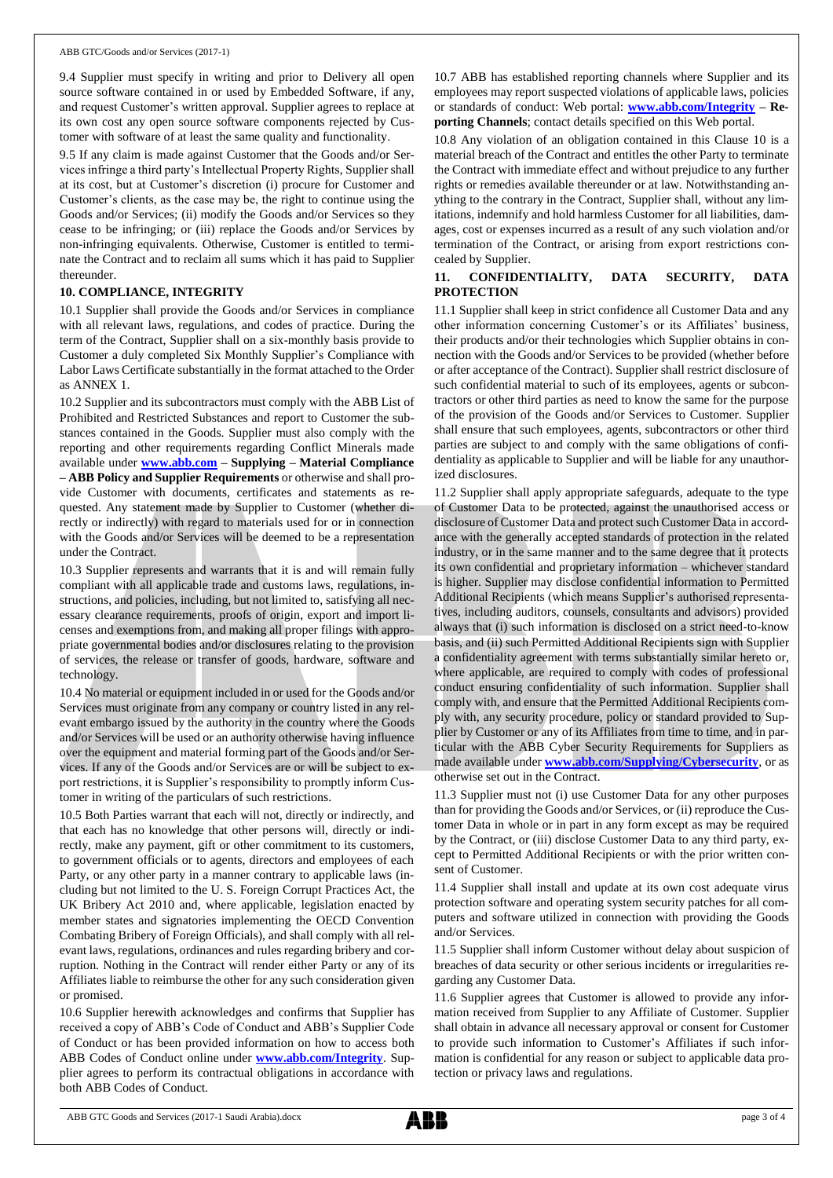9.4 Supplier must specify in writing and prior to Delivery all open source software contained in or used by Embedded Software, if any, and request Customer's written approval. Supplier agrees to replace at its own cost any open source software components rejected by Customer with software of at least the same quality and functionality.

9.5 If any claim is made against Customer that the Goods and/or Services infringe a third party's Intellectual Property Rights, Supplier shall at its cost, but at Customer's discretion (i) procure for Customer and Customer's clients, as the case may be, the right to continue using the Goods and/or Services; (ii) modify the Goods and/or Services so they cease to be infringing; or (iii) replace the Goods and/or Services by non-infringing equivalents. Otherwise, Customer is entitled to terminate the Contract and to reclaim all sums which it has paid to Supplier thereunder.

# **10. COMPLIANCE, INTEGRITY**

10.1 Supplier shall provide the Goods and/or Services in compliance with all relevant laws, regulations, and codes of practice. During the term of the Contract, Supplier shall on a six-monthly basis provide to Customer a duly completed Six Monthly Supplier's Compliance with Labor Laws Certificate substantially in the format attached to the Order as ANNEX 1.

10.2 Supplier and its subcontractors must comply with the ABB List of Prohibited and Restricted Substances and report to Customer the substances contained in the Goods. Supplier must also comply with the reporting and other requirements regarding Conflict Minerals made available under **[www.abb.com](http://www.abb.com/) – Supplying – Material Compliance – ABB Policy and Supplier Requirements** or otherwise and shall provide Customer with documents, certificates and statements as requested. Any statement made by Supplier to Customer (whether directly or indirectly) with regard to materials used for or in connection with the Goods and/or Services will be deemed to be a representation under the Contract.

10.3 Supplier represents and warrants that it is and will remain fully compliant with all applicable trade and customs laws, regulations, instructions, and policies, including, but not limited to, satisfying all necessary clearance requirements, proofs of origin, export and import licenses and exemptions from, and making all proper filings with appropriate governmental bodies and/or disclosures relating to the provision of services, the release or transfer of goods, hardware, software and technology.

10.4 No material or equipment included in or used for the Goods and/or Services must originate from any company or country listed in any relevant embargo issued by the authority in the country where the Goods and/or Services will be used or an authority otherwise having influence over the equipment and material forming part of the Goods and/or Services. If any of the Goods and/or Services are or will be subject to export restrictions, it is Supplier's responsibility to promptly inform Customer in writing of the particulars of such restrictions.

10.5 Both Parties warrant that each will not, directly or indirectly, and that each has no knowledge that other persons will, directly or indirectly, make any payment, gift or other commitment to its customers, to government officials or to agents, directors and employees of each Party, or any other party in a manner contrary to applicable laws (including but not limited to the U. S. Foreign Corrupt Practices Act, the UK Bribery Act 2010 and, where applicable, legislation enacted by member states and signatories implementing the OECD Convention Combating Bribery of Foreign Officials), and shall comply with all relevant laws, regulations, ordinances and rules regarding bribery and corruption. Nothing in the Contract will render either Party or any of its Affiliates liable to reimburse the other for any such consideration given or promised.

10.6 Supplier herewith acknowledges and confirms that Supplier has received a copy of ABB's Code of Conduct and ABB's Supplier Code of Conduct or has been provided information on how to access both ABB Codes of Conduct online under **[www.abb.com/Integrity](http://www.abb.com/Integrity)**. Supplier agrees to perform its contractual obligations in accordance with both ABB Codes of Conduct.

10.7 ABB has established reporting channels where Supplier and its employees may report suspected violations of applicable laws, policies or standards of conduct: Web portal: **[www.abb.com/Integrity](http://www.abb.com/Integrity) – Reporting Channels**; contact details specified on this Web portal.

10.8 Any violation of an obligation contained in this Clause 10 is a material breach of the Contract and entitles the other Party to terminate the Contract with immediate effect and without prejudice to any further rights or remedies available thereunder or at law. Notwithstanding anything to the contrary in the Contract, Supplier shall, without any limitations, indemnify and hold harmless Customer for all liabilities, damages, cost or expenses incurred as a result of any such violation and/or termination of the Contract, or arising from export restrictions concealed by Supplier.

# **11. CONFIDENTIALITY, DATA SECURITY, DATA PROTECTION**

11.1 Supplier shall keep in strict confidence all Customer Data and any other information concerning Customer's or its Affiliates' business, their products and/or their technologies which Supplier obtains in connection with the Goods and/or Services to be provided (whether before or after acceptance of the Contract). Supplier shall restrict disclosure of such confidential material to such of its employees, agents or subcontractors or other third parties as need to know the same for the purpose of the provision of the Goods and/or Services to Customer. Supplier shall ensure that such employees, agents, subcontractors or other third parties are subject to and comply with the same obligations of confidentiality as applicable to Supplier and will be liable for any unauthorized disclosures.

11.2 Supplier shall apply appropriate safeguards, adequate to the type of Customer Data to be protected, against the unauthorised access or disclosure of Customer Data and protect such Customer Data in accordance with the generally accepted standards of protection in the related industry, or in the same manner and to the same degree that it protects its own confidential and proprietary information – whichever standard is higher. Supplier may disclose confidential information to Permitted Additional Recipients (which means Supplier's authorised representatives, including auditors, counsels, consultants and advisors) provided always that (i) such information is disclosed on a strict need-to-know basis, and (ii) such Permitted Additional Recipients sign with Supplier a confidentiality agreement with terms substantially similar hereto or, where applicable, are required to comply with codes of professional conduct ensuring confidentiality of such information. Supplier shall comply with, and ensure that the Permitted Additional Recipients comply with, any security procedure, policy or standard provided to Supplier by Customer or any of its Affiliates from time to time, and in particular with the ABB Cyber Security Requirements for Suppliers as made available under **[www.abb.com/Supplying/Cybersecurity](http://www.abb.com/Supplying/Cybersecurity)**, or as otherwise set out in the Contract.

11.3 Supplier must not (i) use Customer Data for any other purposes than for providing the Goods and/or Services, or (ii) reproduce the Customer Data in whole or in part in any form except as may be required by the Contract, or (iii) disclose Customer Data to any third party, except to Permitted Additional Recipients or with the prior written consent of Customer.

11.4 Supplier shall install and update at its own cost adequate virus protection software and operating system security patches for all computers and software utilized in connection with providing the Goods and/or Services.

11.5 Supplier shall inform Customer without delay about suspicion of breaches of data security or other serious incidents or irregularities regarding any Customer Data.

11.6 Supplier agrees that Customer is allowed to provide any information received from Supplier to any Affiliate of Customer. Supplier shall obtain in advance all necessary approval or consent for Customer to provide such information to Customer's Affiliates if such information is confidential for any reason or subject to applicable data protection or privacy laws and regulations.